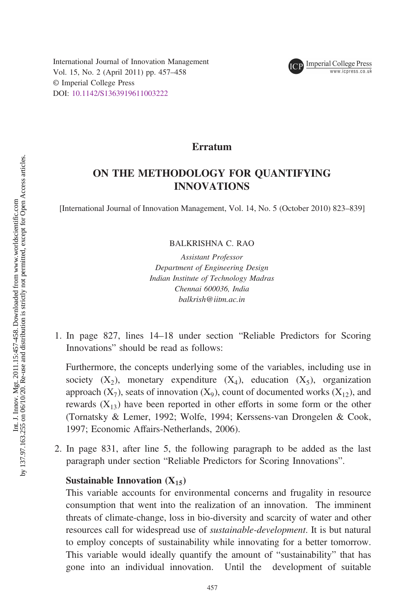

## Erratum

## ON THE METHODOLOGY FOR QUANTIFYING INNOVATIONS

[International Journal of Innovation Management, Vol. 14, No. 5 (October 2010) 823–839]

BALKRISHNA C. RAO

Assistant Professor Department of Engineering Design Indian Institute of Technology Madras Chennai 600036, India balkrish@iitm.ac.in

1. In page 827, lines 14–18 under section "Reliable Predictors for Scoring Innovations" should be read as follows:

Furthermore, the concepts underlying some of the variables, including use in society  $(X_2)$ , monetary expenditure  $(X_4)$ , education  $(X_5)$ , organization approach  $(X_7)$ , seats of innovation  $(X_9)$ , count of documented works  $(X_{12})$ , and rewards  $(X_{13})$  have been reported in other efforts in some form or the other (Tornatsky & Lemer, 1992; Wolfe, 1994; Kerssens-van Drongelen & Cook, 1997; Economic Affairs-Netherlands, 2006).

2. In page 831, after line 5, the following paragraph to be added as the last paragraph under section "Reliable Predictors for Scoring Innovations".

## Sustainable Innovation (X*1*5)

This variable accounts for environmental concerns and frugality in resource consumption that went into the realization of an innovation. The imminent threats of climate-change, loss in bio-diversity and scarcity of water and other resources call for widespread use of *sustainable-development*. It is but natural to employ concepts of sustainability while innovating for a better tomorrow. This variable would ideally quantify the amount of "sustainability" that has gone into an individual innovation. Until the development of suitable